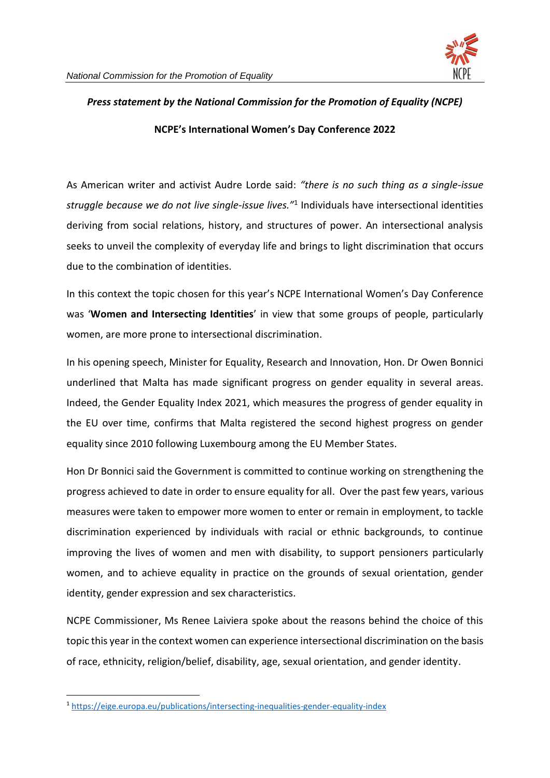

## *Press statement by the National Commission for the Promotion of Equality (NCPE)*

**NCPE's International Women's Day Conference 2022**

As American writer and activist Audre Lorde said: *"there is no such thing as a single-issue struggle because we do not live single-issue lives."*<sup>1</sup> Individuals have intersectional identities deriving from social relations, history, and structures of power. An intersectional analysis seeks to unveil the complexity of everyday life and brings to light discrimination that occurs due to the combination of identities.

In this context the topic chosen for this year's NCPE International Women's Day Conference was '**Women and Intersecting Identities**' in view that some groups of people, particularly women, are more prone to intersectional discrimination.

In his opening speech, Minister for Equality, Research and Innovation, Hon. Dr Owen Bonnici underlined that Malta has made significant progress on gender equality in several areas. Indeed, the Gender Equality Index 2021, which measures the progress of gender equality in the EU over time, confirms that Malta registered the second highest progress on gender equality since 2010 following Luxembourg among the EU Member States.

Hon Dr Bonnici said the Government is committed to continue working on strengthening the progress achieved to date in order to ensure equality for all. Over the past few years, various measures were taken to empower more women to enter or remain in employment, to tackle discrimination experienced by individuals with racial or ethnic backgrounds, to continue improving the lives of women and men with disability, to support pensioners particularly women, and to achieve equality in practice on the grounds of sexual orientation, gender identity, gender expression and sex characteristics.

NCPE Commissioner, Ms Renee Laiviera spoke about the reasons behind the choice of this topic this year in the context women can experience intersectional discrimination on the basis of race, ethnicity, religion/belief, disability, age, sexual orientation, and gender identity.

<sup>1</sup> <https://eige.europa.eu/publications/intersecting-inequalities-gender-equality-index>